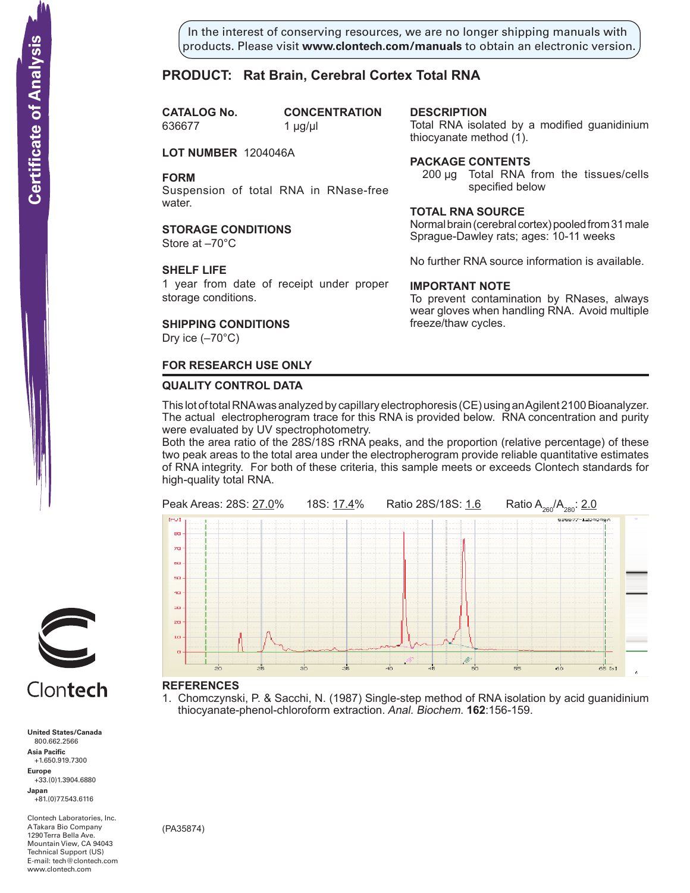In the interest of conserving resources, we are no longer shipping manuals with products. Please visit **www.clontech.com/manuals** to obtain an electronic version.

**description**

thiocyanate method  $(1)$ .

**Package Contents**

**Total RNA source**

**IMPORTANT NOTE**

freeze/thaw cycles.

Total RNA isolated by a modified guanidinium

200 µg Total RNA from the tissues/cells

Normal brain (cerebral cortex) pooled from 31 male Sprague-Dawley rats; ages: 10-11 weeks

No further RNA source information is available.

To prevent contamination by RNases, always wear gloves when handling RNA. Avoid multiple

specified below

# **PRODUCT: Rat Brain, Cerebral Cortex Total RNA**

**CATALOG** No. 636677 1 µg/µl

**CONCENTRATION** 

**LOT NUMBER** 1204046A

**FORM**

Suspension of total RNA in RNase-free water.

**STORAGE CONDITIONS**

Store at –70°C

### **SHELF LIFE**

1 year from date of receipt under proper storage conditions.

# **SHIPPING CONDITIONS**

Dry ice  $(-70^{\circ}C)$ 

# **FOR RESEARCH USE ONLY**

### **QUALITY CONTROL DATA**

This lot of total RNA was analyzed by capillary electrophoresis (CE) using an Agilent 2100 Bioanalyzer. The actual electropherogram trace for this RNA is provided below. RNA concentration and purity were evaluated by UV spectrophotometry.

Both the area ratio of the 28S/18S rRNA peaks, and the proportion (relative percentage) of these two peak areas to the total area under the electropherogram provide reliable quantitative estimates of RNA integrity. For both of these criteria, this sample meets or exceeds Clontech standards for high-quality total RNA.



### **References**

1. Chomczynski, P. & Sacchi, N. (1987) Single-step method of RNA isolation by acid guanidinium thiocyanate-phenol-chloroform extraction. Anal. Biochem. **162**:156-159.



# Clontech

**United States/Canada** 800.662.2566 **Asia Pacific** +1.650.919.7300 **Europe** +33.(0)1.3904.6880 **Japan** +81.(0)77.543.6116 **Solution Control Control Control Control Control Control Control Control Control Control Control Control Control Control Control Control Control Control Control Control Control Control Control Control Control Control Cont** 

Clontech Laboratories, Inc. A Takara Bio Company 1290 Terra Bella Ave. Mountain View, CA 94043 Technical Support (US) E-mail: tech@clontech.com<br>www.clontech.com

(PA35874)